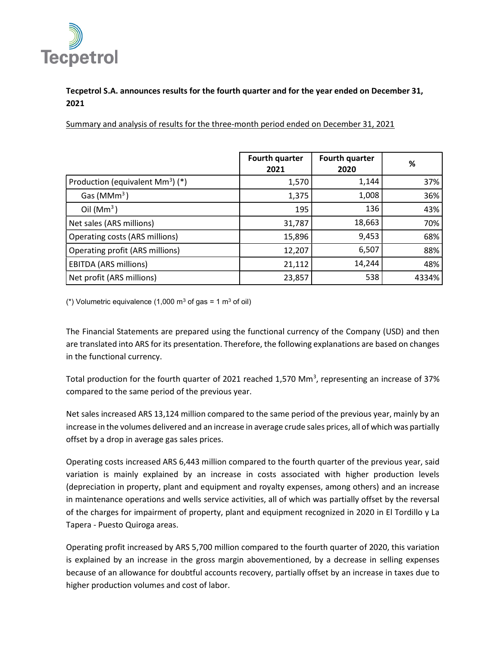

## Tecpetrol S.A. announces results for the fourth quarter and for the year ended on December 31, 2021

Summary and analysis of results for the three-month period ended on December 31, 2021

|                                              | <b>Fourth quarter</b><br>2021 | Fourth quarter<br>2020 | %     |
|----------------------------------------------|-------------------------------|------------------------|-------|
| Production (equivalent Mm <sup>3</sup> ) (*) | 1,570                         | 1,144                  | 37%   |
| Gas ( $MMm3$ )                               | 1,375                         | 1,008                  | 36%   |
| Oil $(Mm3)$                                  | 195                           | 136                    | 43%   |
| Net sales (ARS millions)                     | 31,787                        | 18,663                 | 70%   |
| Operating costs (ARS millions)               | 15,896                        | 9,453                  | 68%   |
| Operating profit (ARS millions)              | 12,207                        | 6,507                  | 88%   |
| <b>EBITDA (ARS millions)</b>                 | 21,112                        | 14,244                 | 48%   |
| Net profit (ARS millions)                    | 23,857                        | 538                    | 4334% |

(\*) Volumetric equivalence (1,000 m<sup>3</sup> of gas = 1 m<sup>3</sup> of oil)

The Financial Statements are prepared using the functional currency of the Company (USD) and then are translated into ARS for its presentation. Therefore, the following explanations are based on changes in the functional currency.

Total production for the fourth quarter of 2021 reached 1,570 Mm<sup>3</sup>, representing an increase of 37% compared to the same period of the previous year.

Net sales increased ARS 13,124 million compared to the same period of the previous year, mainly by an increase in the volumes delivered and an increase in average crude sales prices, all of which was partially offset by a drop in average gas sales prices.

Operating costs increased ARS 6,443 million compared to the fourth quarter of the previous year, said variation is mainly explained by an increase in costs associated with higher production levels (depreciation in property, plant and equipment and royalty expenses, among others) and an increase in maintenance operations and wells service activities, all of which was partially offset by the reversal of the charges for impairment of property, plant and equipment recognized in 2020 in El Tordillo y La Tapera - Puesto Quiroga areas.

Operating profit increased by ARS 5,700 million compared to the fourth quarter of 2020, this variation is explained by an increase in the gross margin abovementioned, by a decrease in selling expenses because of an allowance for doubtful accounts recovery, partially offset by an increase in taxes due to higher production volumes and cost of labor.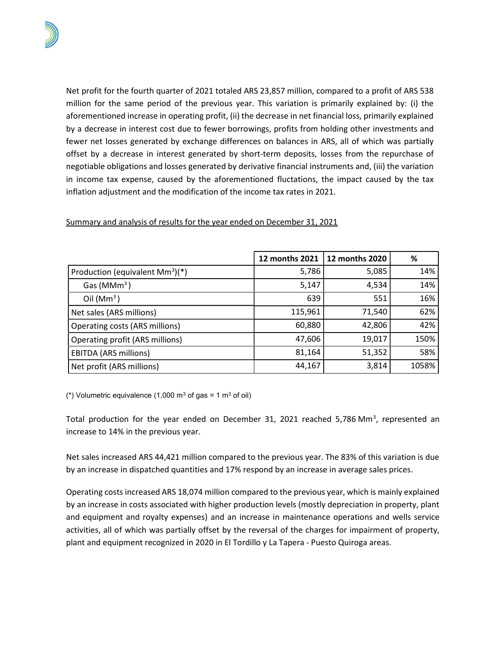Net profit for the fourth quarter of 2021 totaled ARS 23,857 million, compared to a profit of ARS 538 million for the same period of the previous year. This variation is primarily explained by: (i) the aforementioned increase in operating profit, (ii) the decrease in net financial loss, primarily explained by a decrease in interest cost due to fewer borrowings, profits from holding other investments and fewer net losses generated by exchange differences on balances in ARS, all of which was partially offset by a decrease in interest generated by short-term deposits, losses from the repurchase of negotiable obligations and losses generated by derivative financial instruments and, (iii) the variation in income tax expense, caused by the aforementioned fluctations, the impact caused by the tax inflation adjustment and the modification of the income tax rates in 2021.

|                                           | 12 months 2021 | 12 months 2020 | %     |
|-------------------------------------------|----------------|----------------|-------|
| Production (equivalent $\text{Mm}^3$ )(*) | 5,786          | 5,085          | 14%   |
| Gas ( $MMm3$ )                            | 5,147          | 4,534          | 14%   |
| Oil $(Mm3)$                               | 639            | 551            | 16%   |
| Net sales (ARS millions)                  | 115,961        | 71,540         | 62%   |
| Operating costs (ARS millions)            | 60,880         | 42,806         | 42%   |
| Operating profit (ARS millions)           | 47,606         | 19,017         | 150%  |
| <b>EBITDA (ARS millions)</b>              | 81,164         | 51,352         | 58%   |
| Net profit (ARS millions)                 | 44,167         | 3,814          | 1058% |

## Summary and analysis of results for the year ended on December 31, 2021

(\*) Volumetric equivalence (1,000 m<sup>3</sup> of gas = 1 m<sup>3</sup> of oil)

Total production for the year ended on December 31, 2021 reached 5,786 Mm<sup>3</sup>, represented an increase to 14% in the previous year.

Net sales increased ARS 44,421 million compared to the previous year. The 83% of this variation is due by an increase in dispatched quantities and 17% respond by an increase in average sales prices.

Operating costs increased ARS 18,074 million compared to the previous year, which is mainly explained by an increase in costs associated with higher production levels (mostly depreciation in property, plant and equipment and royalty expenses) and an increase in maintenance operations and wells service activities, all of which was partially offset by the reversal of the charges for impairment of property, plant and equipment recognized in 2020 in El Tordillo y La Tapera - Puesto Quiroga areas.